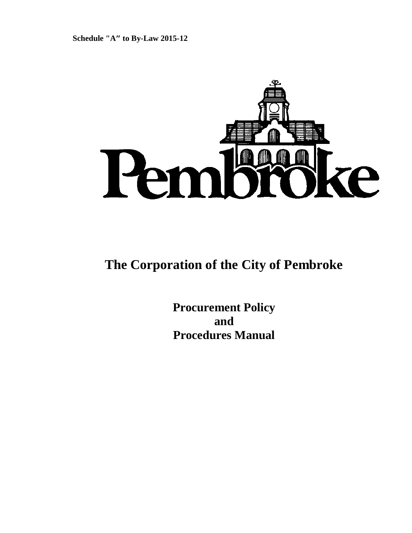

# **The Corporation of the City of Pembroke**

**Procurement Policy and Procedures Manual**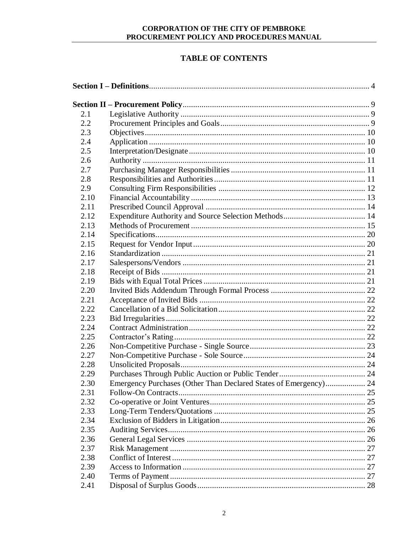# **TABLE OF CONTENTS**

| 2.1  |                                                                  |  |
|------|------------------------------------------------------------------|--|
| 2.2  |                                                                  |  |
| 2.3  |                                                                  |  |
| 2.4  |                                                                  |  |
| 2.5  |                                                                  |  |
| 2.6  |                                                                  |  |
| 2.7  |                                                                  |  |
| 2.8  |                                                                  |  |
| 2.9  |                                                                  |  |
| 2.10 |                                                                  |  |
| 2.11 |                                                                  |  |
| 2.12 |                                                                  |  |
| 2.13 |                                                                  |  |
| 2.14 |                                                                  |  |
| 2.15 |                                                                  |  |
| 2.16 |                                                                  |  |
| 2.17 |                                                                  |  |
| 2.18 |                                                                  |  |
| 2.19 |                                                                  |  |
| 2.20 |                                                                  |  |
| 2.21 |                                                                  |  |
| 2.22 |                                                                  |  |
| 2.23 |                                                                  |  |
| 2.24 |                                                                  |  |
| 2.25 |                                                                  |  |
| 2.26 |                                                                  |  |
| 2.27 |                                                                  |  |
| 2.28 |                                                                  |  |
| 2.29 |                                                                  |  |
| 2.30 | Emergency Purchases (Other Than Declared States of Emergency) 24 |  |
| 2.31 |                                                                  |  |
| 2.32 |                                                                  |  |
| 2.33 |                                                                  |  |
| 2.34 |                                                                  |  |
| 2.35 |                                                                  |  |
| 2.36 |                                                                  |  |
| 2.37 |                                                                  |  |
| 2.38 |                                                                  |  |
| 2.39 |                                                                  |  |
| 2.40 |                                                                  |  |
| 2.41 |                                                                  |  |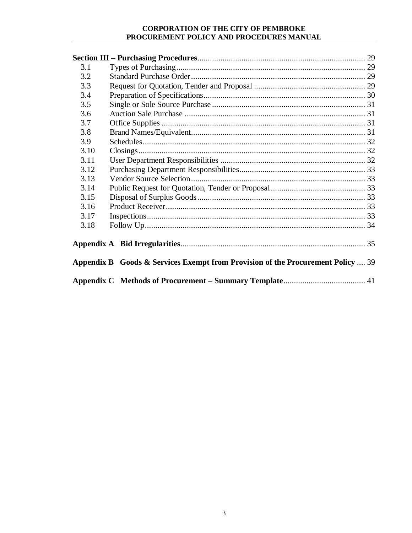| 3.1  |                                                                                 |  |
|------|---------------------------------------------------------------------------------|--|
| 3.2  |                                                                                 |  |
| 3.3  |                                                                                 |  |
| 3.4  |                                                                                 |  |
| 3.5  |                                                                                 |  |
| 3.6  |                                                                                 |  |
| 3.7  |                                                                                 |  |
| 3.8  |                                                                                 |  |
| 3.9  |                                                                                 |  |
| 3.10 |                                                                                 |  |
| 3.11 |                                                                                 |  |
| 3.12 |                                                                                 |  |
| 3.13 |                                                                                 |  |
| 3.14 |                                                                                 |  |
| 3.15 |                                                                                 |  |
| 3.16 |                                                                                 |  |
| 3.17 |                                                                                 |  |
| 3.18 |                                                                                 |  |
|      |                                                                                 |  |
|      | Appendix B Goods & Services Exempt from Provision of the Procurement Policy  39 |  |
|      |                                                                                 |  |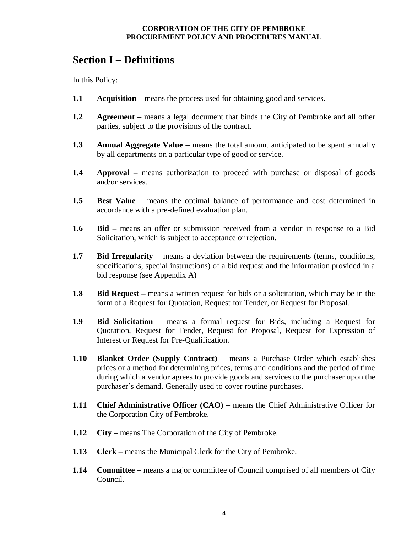# <span id="page-3-0"></span>**Section I – Definitions**

In this Policy:

- **1.1 Acquisition** means the process used for obtaining good and services.
- **1.2 Agreement –** means a legal document that binds the City of Pembroke and all other parties, subject to the provisions of the contract.
- **1.3 Annual Aggregate Value –** means the total amount anticipated to be spent annually by all departments on a particular type of good or service.
- **1.4 Approval –** means authorization to proceed with purchase or disposal of goods and/or services.
- **1.5 Best Value**  means the optimal balance of performance and cost determined in accordance with a pre-defined evaluation plan.
- **1.6 Bid –** means an offer or submission received from a vendor in response to a Bid Solicitation, which is subject to acceptance or rejection.
- **1.7 Bid Irregularity** means a deviation between the requirements (terms, conditions, specifications, special instructions) of a bid request and the information provided in a bid response (see Appendix A)
- **1.8 Bid Request –** means a written request for bids or a solicitation, which may be in the form of a Request for Quotation, Request for Tender, or Request for Proposal.
- **1.9 Bid Solicitation** means a formal request for Bids, including a Request for Quotation, Request for Tender, Request for Proposal, Request for Expression of Interest or Request for Pre-Qualification.
- **1.10 Blanket Order (Supply Contract)** means a Purchase Order which establishes prices or a method for determining prices, terms and conditions and the period of time during which a vendor agrees to provide goods and services to the purchaser upon the purchaser's demand. Generally used to cover routine purchases.
- **1.11 Chief Administrative Officer (CAO) –** means the Chief Administrative Officer for the Corporation City of Pembroke.
- **1.12 City –** means The Corporation of the City of Pembroke.
- **1.13 Clerk –** means the Municipal Clerk for the City of Pembroke.
- **1.14 Committee –** means a major committee of Council comprised of all members of City Council.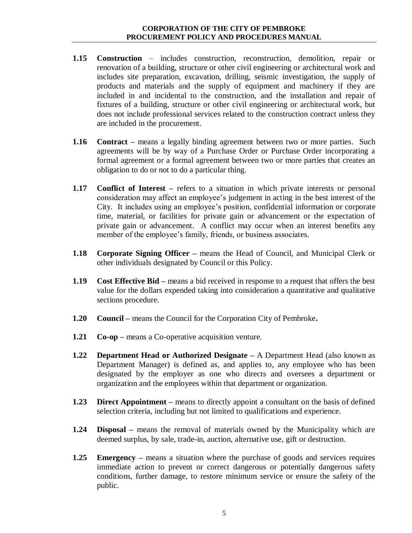- **1.15 Construction**  includes construction, reconstruction, demolition, repair or renovation of a building, structure or other civil engineering or architectural work and includes site preparation, excavation, drilling, seismic investigation, the supply of products and materials and the supply of equipment and machinery if they are included in and incidental to the construction, and the installation and repair of fixtures of a building, structure or other civil engineering or architectural work, but does not include professional services related to the construction contract unless they are included in the procurement.
- **1.16 Contract –** means a legally binding agreement between two or more parties. Such agreements will be by way of a Purchase Order or Purchase Order incorporating a formal agreement or a formal agreement between two or more parties that creates an obligation to do or not to do a particular thing.
- **1.17 Conflict of Interest** refers to a situation in which private interests or personal consideration may affect an employee's judgement in acting in the best interest of the City. It includes using an employee's position, confidential information or corporate time, material, or facilities for private gain or advancement or the expectation of private gain or advancement. A conflict may occur when an interest benefits any member of the employee's family, friends, or business associates.
- **1.18 Corporate Signing Officer –** means the Head of Council, and Municipal Clerk or other individuals designated by Council or this Policy.
- **1.19 Cost Effective Bid –** means a bid received in response to a request that offers the best value for the dollars expended taking into consideration a quantitative and qualitative sections procedure.
- **1.20 Council –** means the Council for the Corporation City of Pembroke**.**
- **1.21 Co-op** means a Co-operative acquisition venture.
- **1.22 Department Head or Authorized Designate –** A Department Head (also known as Department Manager) is defined as, and applies to, any employee who has been designated by the employer as one who directs and oversees a department or organization and the employees within that department or organization.
- **1.23 Direct Appointment –** means to directly appoint a consultant on the basis of defined selection criteria, including but not limited to qualifications and experience.
- **1.24 Disposal –** means the removal of materials owned by the Municipality which are deemed surplus, by sale, trade-in, auction, alternative use, gift or destruction.
- **1.25 Emergency –** means a situation where the purchase of goods and services requires immediate action to prevent or correct dangerous or potentially dangerous safety conditions, further damage, to restore minimum service or ensure the safety of the public.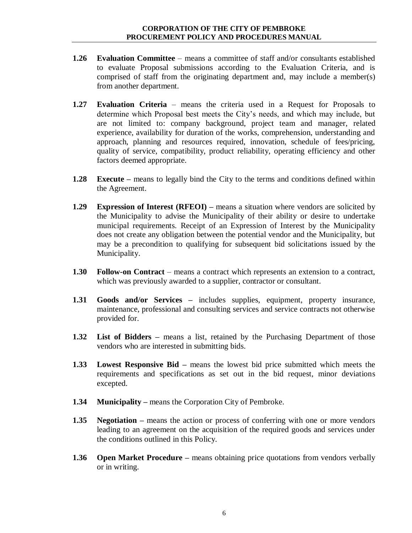- **1.26 Evaluation Committee**  means a committee of staff and/or consultants established to evaluate Proposal submissions according to the Evaluation Criteria, and is comprised of staff from the originating department and, may include a member(s) from another department.
- **1.27 Evaluation Criteria** means the criteria used in a Request for Proposals to determine which Proposal best meets the City's needs, and which may include, but are not limited to: company background, project team and manager, related experience, availability for duration of the works, comprehension, understanding and approach, planning and resources required, innovation, schedule of fees/pricing, quality of service, compatibility, product reliability, operating efficiency and other factors deemed appropriate.
- **1.28 Execute** means to legally bind the City to the terms and conditions defined within the Agreement.
- **1.29 Expression of Interest (RFEOI) –** means a situation where vendors are solicited by the Municipality to advise the Municipality of their ability or desire to undertake municipal requirements. Receipt of an Expression of Interest by the Municipality does not create any obligation between the potential vendor and the Municipality, but may be a precondition to qualifying for subsequent bid solicitations issued by the Municipality.
- **1.30 Follow-on Contract** means a contract which represents an extension to a contract, which was previously awarded to a supplier, contractor or consultant.
- **1.31 Goods and/or Services –** includes supplies, equipment, property insurance, maintenance, professional and consulting services and service contracts not otherwise provided for.
- **1.32 List of Bidders –** means a list, retained by the Purchasing Department of those vendors who are interested in submitting bids.
- **1.33 Lowest Responsive Bid –** means the lowest bid price submitted which meets the requirements and specifications as set out in the bid request, minor deviations excepted.
- **1.34 Municipality –** means the Corporation City of Pembroke.
- **1.35 Negotiation –** means the action or process of conferring with one or more vendors leading to an agreement on the acquisition of the required goods and services under the conditions outlined in this Policy.
- **1.36 Open Market Procedure** means obtaining price quotations from vendors verbally or in writing.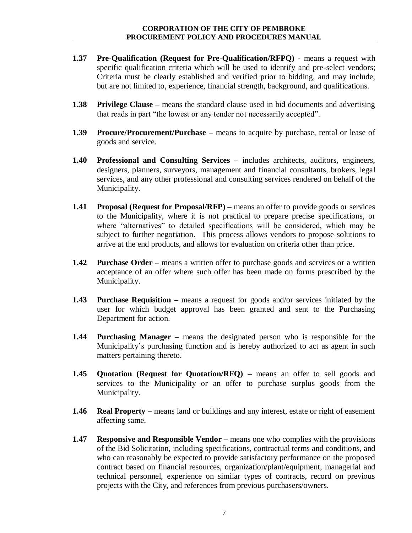- **1.37 Pre-Qualification (Request for Pre-Qualification/RFPQ)**  means a request with specific qualification criteria which will be used to identify and pre-select vendors; Criteria must be clearly established and verified prior to bidding, and may include, but are not limited to, experience, financial strength, background, and qualifications.
- **1.38 Privilege Clause –** means the standard clause used in bid documents and advertising that reads in part "the lowest or any tender not necessarily accepted".
- **1.39 Procure/Procurement/Purchase –** means to acquire by purchase, rental or lease of goods and service.
- **1.40 Professional and Consulting Services –** includes architects, auditors, engineers, designers, planners, surveyors, management and financial consultants, brokers, legal services, and any other professional and consulting services rendered on behalf of the Municipality.
- **1.41 Proposal (Request for Proposal/RFP) –** means an offer to provide goods or services to the Municipality, where it is not practical to prepare precise specifications, or where "alternatives" to detailed specifications will be considered, which may be subject to further negotiation. This process allows vendors to propose solutions to arrive at the end products, and allows for evaluation on criteria other than price.
- **1.42 Purchase Order** means a written offer to purchase goods and services or a written acceptance of an offer where such offer has been made on forms prescribed by the Municipality.
- **1.43 Purchase Requisition –** means a request for goods and/or services initiated by the user for which budget approval has been granted and sent to the Purchasing Department for action.
- **1.44 Purchasing Manager –** means the designated person who is responsible for the Municipality's purchasing function and is hereby authorized to act as agent in such matters pertaining thereto.
- **1.45 Quotation (Request for Quotation/RFQ) –** means an offer to sell goods and services to the Municipality or an offer to purchase surplus goods from the Municipality.
- **1.46 Real Property –** means land or buildings and any interest, estate or right of easement affecting same.
- **1.47 Responsive and Responsible Vendor –** means one who complies with the provisions of the Bid Solicitation, including specifications, contractual terms and conditions, and who can reasonably be expected to provide satisfactory performance on the proposed contract based on financial resources, organization/plant/equipment, managerial and technical personnel, experience on similar types of contracts, record on previous projects with the City, and references from previous purchasers/owners.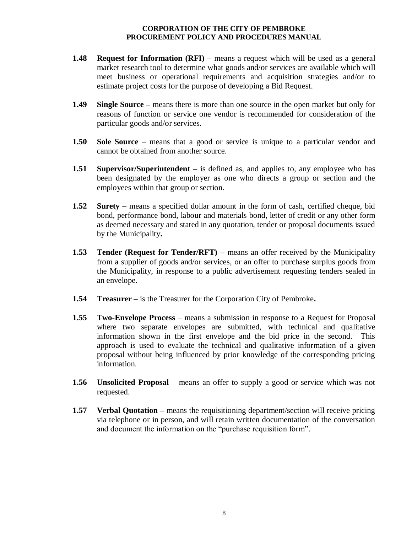- **1.48 Request for Information (RFI)** means a request which will be used as a general market research tool to determine what goods and/or services are available which will meet business or operational requirements and acquisition strategies and/or to estimate project costs for the purpose of developing a Bid Request.
- **1.49 Single Source –** means there is more than one source in the open market but only for reasons of function or service one vendor is recommended for consideration of the particular goods and/or services.
- **1.50 Sole Source** means that a good or service is unique to a particular vendor and cannot be obtained from another source.
- **1.51 Supervisor/Superintendent –** is defined as, and applies to, any employee who has been designated by the employer as one who directs a group or section and the employees within that group or section.
- **1.52 Surety –** means a specified dollar amount in the form of cash, certified cheque, bid bond, performance bond, labour and materials bond, letter of credit or any other form as deemed necessary and stated in any quotation, tender or proposal documents issued by the Municipality**.**
- **1.53 Tender (Request for Tender/RFT) –** means an offer received by the Municipality from a supplier of goods and/or services, or an offer to purchase surplus goods from the Municipality, in response to a public advertisement requesting tenders sealed in an envelope.
- **1.54 Treasurer –** is the Treasurer for the Corporation City of Pembroke**.**
- **1.55 Two-Envelope Process** means a submission in response to a Request for Proposal where two separate envelopes are submitted, with technical and qualitative information shown in the first envelope and the bid price in the second. This approach is used to evaluate the technical and qualitative information of a given proposal without being influenced by prior knowledge of the corresponding pricing information.
- **1.56 Unsolicited Proposal**  means an offer to supply a good or service which was not requested.
- **1.57 Verbal Quotation** means the requisitioning department/section will receive pricing via telephone or in person, and will retain written documentation of the conversation and document the information on the "purchase requisition form".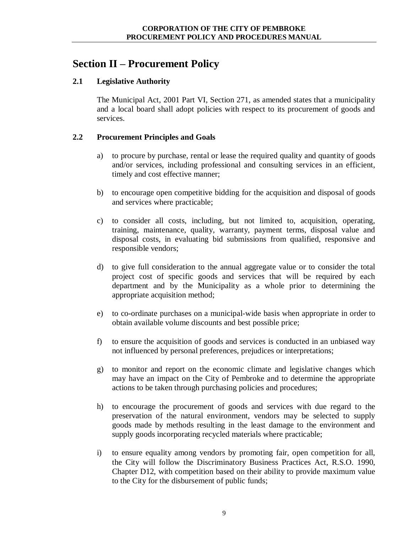# <span id="page-8-0"></span>**Section II – Procurement Policy**

# <span id="page-8-1"></span>**2.1 Legislative Authority**

The Municipal Act, 2001 Part VI, Section 271, as amended states that a municipality and a local board shall adopt policies with respect to its procurement of goods and services.

# <span id="page-8-2"></span>**2.2 Procurement Principles and Goals**

- a) to procure by purchase, rental or lease the required quality and quantity of goods and/or services, including professional and consulting services in an efficient, timely and cost effective manner;
- b) to encourage open competitive bidding for the acquisition and disposal of goods and services where practicable;
- c) to consider all costs, including, but not limited to, acquisition, operating, training, maintenance, quality, warranty, payment terms, disposal value and disposal costs, in evaluating bid submissions from qualified, responsive and responsible vendors;
- d) to give full consideration to the annual aggregate value or to consider the total project cost of specific goods and services that will be required by each department and by the Municipality as a whole prior to determining the appropriate acquisition method;
- e) to co-ordinate purchases on a municipal-wide basis when appropriate in order to obtain available volume discounts and best possible price;
- f) to ensure the acquisition of goods and services is conducted in an unbiased way not influenced by personal preferences, prejudices or interpretations;
- g) to monitor and report on the economic climate and legislative changes which may have an impact on the City of Pembroke and to determine the appropriate actions to be taken through purchasing policies and procedures;
- h) to encourage the procurement of goods and services with due regard to the preservation of the natural environment, vendors may be selected to supply goods made by methods resulting in the least damage to the environment and supply goods incorporating recycled materials where practicable;
- i) to ensure equality among vendors by promoting fair, open competition for all, the City will follow the Discriminatory Business Practices Act, R.S.O. 1990, Chapter D12, with competition based on their ability to provide maximum value to the City for the disbursement of public funds;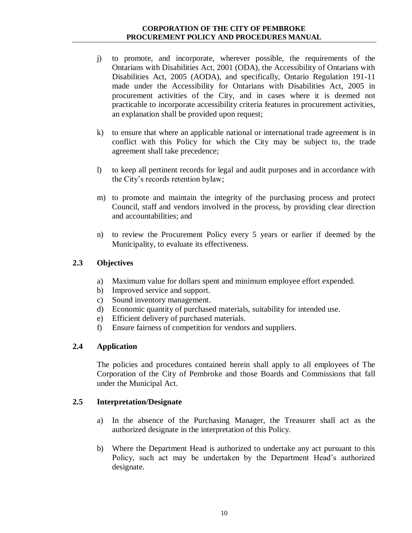- j) to promote, and incorporate, wherever possible, the requirements of the Ontarians with Disabilities Act, 2001 (ODA), the Accessibility of Ontarians with Disabilities Act, 2005 (AODA), and specifically, Ontario Regulation 191-11 made under the Accessibility for Ontarians with Disabilities Act, 2005 in procurement activities of the City, and in cases where it is deemed not practicable to incorporate accessibility criteria features in procurement activities, an explanation shall be provided upon request;
- k) to ensure that where an applicable national or international trade agreement is in conflict with this Policy for which the City may be subject to, the trade agreement shall take precedence;
- l) to keep all pertinent records for legal and audit purposes and in accordance with the City's records retention bylaw;
- m) to promote and maintain the integrity of the purchasing process and protect Council, staff and vendors involved in the process, by providing clear direction and accountabilities; and
- n) to review the Procurement Policy every 5 years or earlier if deemed by the Municipality, to evaluate its effectiveness.

# <span id="page-9-0"></span>**2.3 Objectives**

- a) Maximum value for dollars spent and minimum employee effort expended.
- b) Improved service and support.
- c) Sound inventory management.
- d) Economic quantity of purchased materials, suitability for intended use.
- e) Efficient delivery of purchased materials.
- f) Ensure fairness of competition for vendors and suppliers.

# <span id="page-9-1"></span>**2.4 Application**

The policies and procedures contained herein shall apply to all employees of The Corporation of the City of Pembroke and those Boards and Commissions that fall under the Municipal Act.

# <span id="page-9-2"></span>**2.5 Interpretation/Designate**

- a) In the absence of the Purchasing Manager, the Treasurer shall act as the authorized designate in the interpretation of this Policy.
- b) Where the Department Head is authorized to undertake any act pursuant to this Policy, such act may be undertaken by the Department Head's authorized designate.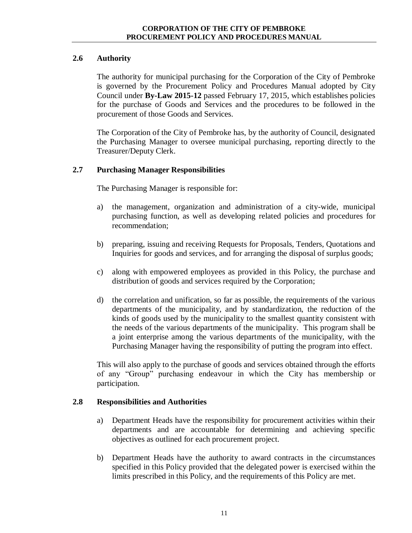# <span id="page-10-0"></span>**2.6 Authority**

The authority for municipal purchasing for the Corporation of the City of Pembroke is governed by the Procurement Policy and Procedures Manual adopted by City Council under **By-Law 2015-12** passed February 17, 2015, which establishes policies for the purchase of Goods and Services and the procedures to be followed in the procurement of those Goods and Services.

The Corporation of the City of Pembroke has, by the authority of Council, designated the Purchasing Manager to oversee municipal purchasing, reporting directly to the Treasurer/Deputy Clerk.

# <span id="page-10-1"></span>**2.7 Purchasing Manager Responsibilities**

The Purchasing Manager is responsible for:

- a) the management, organization and administration of a city-wide, municipal purchasing function, as well as developing related policies and procedures for recommendation;
- b) preparing, issuing and receiving Requests for Proposals, Tenders, Quotations and Inquiries for goods and services, and for arranging the disposal of surplus goods;
- c) along with empowered employees as provided in this Policy, the purchase and distribution of goods and services required by the Corporation;
- d) the correlation and unification, so far as possible, the requirements of the various departments of the municipality, and by standardization, the reduction of the kinds of goods used by the municipality to the smallest quantity consistent with the needs of the various departments of the municipality. This program shall be a joint enterprise among the various departments of the municipality, with the Purchasing Manager having the responsibility of putting the program into effect.

This will also apply to the purchase of goods and services obtained through the efforts of any "Group" purchasing endeavour in which the City has membership or participation.

# <span id="page-10-2"></span>**2.8 Responsibilities and Authorities**

- a) Department Heads have the responsibility for procurement activities within their departments and are accountable for determining and achieving specific objectives as outlined for each procurement project.
- b) Department Heads have the authority to award contracts in the circumstances specified in this Policy provided that the delegated power is exercised within the limits prescribed in this Policy, and the requirements of this Policy are met.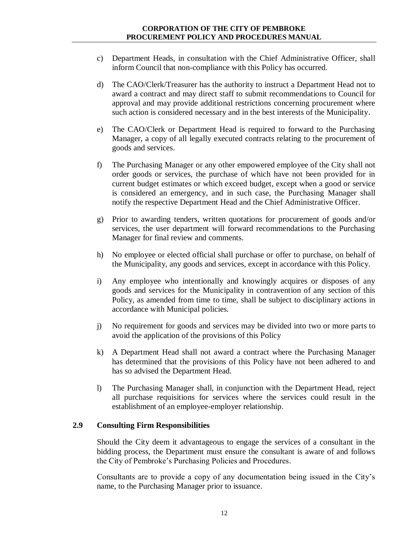- c) Department Heads, in consultation with the Chief Administrative Officer, shall inform Council that non-compliance with this Policy has occurred.
- d) The CAO/Clerk/Treasurer has the authority to instruct a Department Head not to award a contract and may direct staff to submit recommendations to Council for approval and may provide additional restrictions concerning procurement where such action is considered necessary and in the best interests of the Municipality.
- e) The CAO/Clerk or Department Head is required to forward to the Purchasing Manager, a copy of all legally executed contracts relating to the procurement of goods and services.
- f) The Purchasing Manager or any other empowered employee of the City shall not order goods or services, the purchase of which have not been provided for in current budget estimates or which exceed budget, except when a good or service is considered an emergency, and in such case, the Purchasing Manager shall notify the respective Department Head and the Chief Administrative Officer.
- g) Prior to awarding tenders, written quotations for procurement of goods and/or services, the user department will forward recommendations to the Purchasing Manager for final review and comments.
- h) No employee or elected official shall purchase or offer to purchase, on behalf of the Municipality, any goods and services, except in accordance with this Policy.
- i) Any employee who intentionally and knowingly acquires or disposes of any goods and services for the Municipality in contravention of any section of this Policy, as amended from time to time, shall be subject to disciplinary actions in accordance with Municipal policies.
- j) No requirement for goods and services may be divided into two or more parts to avoid the application of the provisions of this Policy
- k) A Department Head shall not award a contract where the Purchasing Manager has determined that the provisions of this Policy have not been adhered to and has so advised the Department Head.
- l) The Purchasing Manager shall, in conjunction with the Department Head, reject all purchase requisitions for services where the services could result in the establishment of an employee-employer relationship.

# <span id="page-11-0"></span>**2.9 Consulting Firm Responsibilities**

Should the City deem it advantageous to engage the services of a consultant in the bidding process, the Department must ensure the consultant is aware of and follows the City of Pembroke's Purchasing Policies and Procedures.

Consultants are to provide a copy of any documentation being issued in the City's name, to the Purchasing Manager prior to issuance.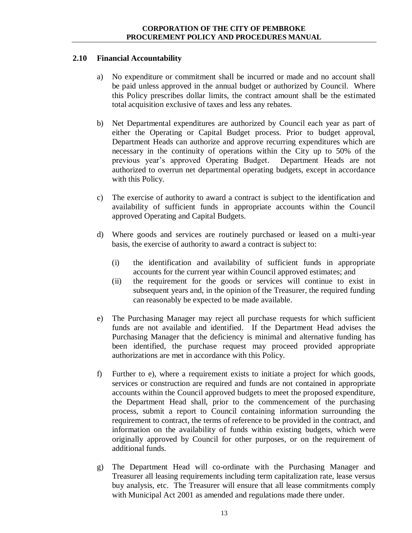# <span id="page-12-0"></span>**2.10 Financial Accountability**

- a) No expenditure or commitment shall be incurred or made and no account shall be paid unless approved in the annual budget or authorized by Council. Where this Policy prescribes dollar limits, the contract amount shall be the estimated total acquisition exclusive of taxes and less any rebates.
- b) Net Departmental expenditures are authorized by Council each year as part of either the Operating or Capital Budget process. Prior to budget approval, Department Heads can authorize and approve recurring expenditures which are necessary in the continuity of operations within the City up to 50% of the previous year's approved Operating Budget. Department Heads are not authorized to overrun net departmental operating budgets, except in accordance with this Policy.
- c) The exercise of authority to award a contract is subject to the identification and availability of sufficient funds in appropriate accounts within the Council approved Operating and Capital Budgets.
- d) Where goods and services are routinely purchased or leased on a multi-year basis, the exercise of authority to award a contract is subject to:
	- (i) the identification and availability of sufficient funds in appropriate accounts for the current year within Council approved estimates; and
	- (ii) the requirement for the goods or services will continue to exist in subsequent years and, in the opinion of the Treasurer, the required funding can reasonably be expected to be made available.
- e) The Purchasing Manager may reject all purchase requests for which sufficient funds are not available and identified. If the Department Head advises the Purchasing Manager that the deficiency is minimal and alternative funding has been identified, the purchase request may proceed provided appropriate authorizations are met in accordance with this Policy.
- f) Further to e), where a requirement exists to initiate a project for which goods, services or construction are required and funds are not contained in appropriate accounts within the Council approved budgets to meet the proposed expenditure, the Department Head shall, prior to the commencement of the purchasing process, submit a report to Council containing information surrounding the requirement to contract, the terms of reference to be provided in the contract, and information on the availability of funds within existing budgets, which were originally approved by Council for other purposes, or on the requirement of additional funds.
- g) The Department Head will co-ordinate with the Purchasing Manager and Treasurer all leasing requirements including term capitalization rate, lease versus buy analysis, etc. The Treasurer will ensure that all lease commitments comply with Municipal Act 2001 as amended and regulations made there under.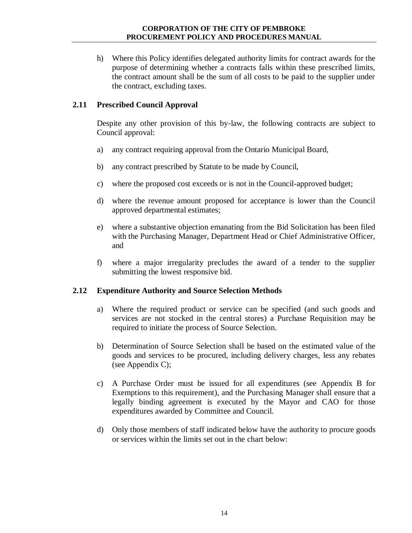h) Where this Policy identifies delegated authority limits for contract awards for the purpose of determining whether a contracts falls within these prescribed limits, the contract amount shall be the sum of all costs to be paid to the supplier under the contract, excluding taxes.

#### <span id="page-13-0"></span>**2.11 Prescribed Council Approval**

Despite any other provision of this by-law, the following contracts are subject to Council approval:

- a) any contract requiring approval from the Ontario Municipal Board,
- b) any contract prescribed by Statute to be made by Council,
- c) where the proposed cost exceeds or is not in the Council-approved budget;
- d) where the revenue amount proposed for acceptance is lower than the Council approved departmental estimates;
- e) where a substantive objection emanating from the Bid Solicitation has been filed with the Purchasing Manager, Department Head or Chief Administrative Officer, and
- f) where a major irregularity precludes the award of a tender to the supplier submitting the lowest responsive bid.

#### <span id="page-13-1"></span>**2.12 Expenditure Authority and Source Selection Methods**

- a) Where the required product or service can be specified (and such goods and services are not stocked in the central stores) a Purchase Requisition may be required to initiate the process of Source Selection.
- b) Determination of Source Selection shall be based on the estimated value of the goods and services to be procured, including delivery charges, less any rebates (see Appendix C);
- c) A Purchase Order must be issued for all expenditures (see Appendix B for Exemptions to this requirement), and the Purchasing Manager shall ensure that a legally binding agreement is executed by the Mayor and CAO for those expenditures awarded by Committee and Council.
- d) Only those members of staff indicated below have the authority to procure goods or services within the limits set out in the chart below: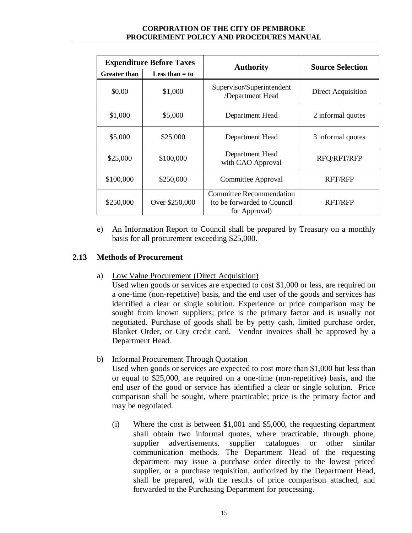| <b>Expenditure Before Taxes</b> |                  | <b>Authority</b>                                                                 | <b>Source Selection</b> |  |
|---------------------------------|------------------|----------------------------------------------------------------------------------|-------------------------|--|
| <b>Greater than</b>             | Less than $=$ to |                                                                                  |                         |  |
| \$0.00                          | \$1,000          | Supervisor/Superintendent<br>/Department Head                                    | Direct Acquisition      |  |
| \$1,000                         | \$5,000          | Department Head                                                                  | 2 informal quotes       |  |
| \$5,000                         | \$25,000         | Department Head                                                                  | 3 informal quotes       |  |
| \$25,000                        | \$100,000        | Department Head<br>with CAO Approval                                             | RFQ/RFT/RFP             |  |
| \$100,000                       | \$250,000        | Committee Approval                                                               | <b>RFT/RFP</b>          |  |
| \$250,000                       | Over \$250,000   | <b>Committee Recommendation</b><br>(to be forwarded to Council)<br>for Approval) | <b>RFT/RFP</b>          |  |

e) An Information Report to Council shall be prepared by Treasury on a monthly basis for all procurement exceeding \$25,000.

# <span id="page-14-0"></span>**2.13 Methods of Procurement**

a) Low Value Procurement (Direct Acquisition)

Used when goods or services are expected to cost \$1,000 or less, are required on a one-time (non-repetitive) basis, and the end user of the goods and services has identified a clear or single solution. Experience or price comparison may be sought from known suppliers; price is the primary factor and is usually not negotiated. Purchase of goods shall be by petty cash, limited purchase order, Blanket Order, or City credit card. Vendor invoices shall be approved by a Department Head.

b) Informal Procurement Through Quotation

Used when goods or services are expected to cost more than \$1,000 but less than or equal to \$25,000, are required on a one-time (non-repetitive) basis, and the end user of the good or service has identified a clear or single solution. Price comparison shall be sought, where practicable; price is the primary factor and may be negotiated.

(i) Where the cost is between \$1,001 and \$5,000, the requesting department shall obtain two informal quotes, where practicable, through phone, supplier advertisements, supplier catalogues or other similar communication methods. The Department Head of the requesting department may issue a purchase order directly to the lowest priced supplier, or a purchase requisition, authorized by the Department Head, shall be prepared, with the results of price comparison attached, and forwarded to the Purchasing Department for processing.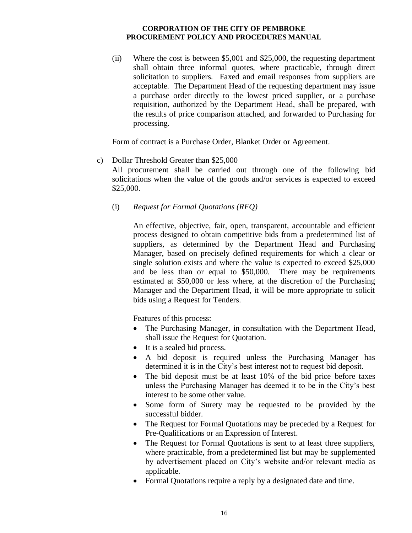(ii) Where the cost is between \$5,001 and \$25,000, the requesting department shall obtain three informal quotes, where practicable, through direct solicitation to suppliers. Faxed and email responses from suppliers are acceptable. The Department Head of the requesting department may issue a purchase order directly to the lowest priced supplier, or a purchase requisition, authorized by the Department Head, shall be prepared, with the results of price comparison attached, and forwarded to Purchasing for processing.

Form of contract is a Purchase Order, Blanket Order or Agreement.

#### c) Dollar Threshold Greater than \$25,000

All procurement shall be carried out through one of the following bid solicitations when the value of the goods and/or services is expected to exceed \$25,000.

# (i) *Request for Formal Quotations (RFQ)*

An effective, objective, fair, open, transparent, accountable and efficient process designed to obtain competitive bids from a predetermined list of suppliers, as determined by the Department Head and Purchasing Manager, based on precisely defined requirements for which a clear or single solution exists and where the value is expected to exceed \$25,000 and be less than or equal to \$50,000. There may be requirements estimated at \$50,000 or less where, at the discretion of the Purchasing Manager and the Department Head, it will be more appropriate to solicit bids using a Request for Tenders.

Features of this process:

- The Purchasing Manager, in consultation with the Department Head, shall issue the Request for Quotation.
- It is a sealed bid process.
- A bid deposit is required unless the Purchasing Manager has determined it is in the City's best interest not to request bid deposit.
- The bid deposit must be at least 10% of the bid price before taxes unless the Purchasing Manager has deemed it to be in the City's best interest to be some other value.
- Some form of Surety may be requested to be provided by the successful bidder.
- The Request for Formal Quotations may be preceded by a Request for Pre-Qualifications or an Expression of Interest.
- The Request for Formal Quotations is sent to at least three suppliers, where practicable, from a predetermined list but may be supplemented by advertisement placed on City's website and/or relevant media as applicable.
- Formal Quotations require a reply by a designated date and time.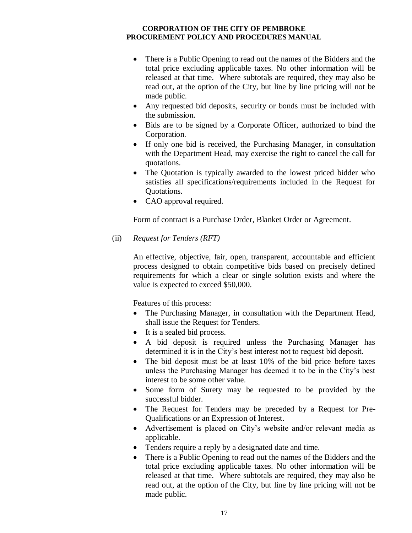- There is a Public Opening to read out the names of the Bidders and the total price excluding applicable taxes. No other information will be released at that time. Where subtotals are required, they may also be read out, at the option of the City, but line by line pricing will not be made public.
- Any requested bid deposits, security or bonds must be included with the submission.
- Bids are to be signed by a Corporate Officer, authorized to bind the Corporation.
- If only one bid is received, the Purchasing Manager, in consultation with the Department Head, may exercise the right to cancel the call for quotations.
- The Quotation is typically awarded to the lowest priced bidder who satisfies all specifications/requirements included in the Request for Quotations.
- CAO approval required.

Form of contract is a Purchase Order, Blanket Order or Agreement.

(ii) *Request for Tenders (RFT)*

An effective, objective, fair, open, transparent, accountable and efficient process designed to obtain competitive bids based on precisely defined requirements for which a clear or single solution exists and where the value is expected to exceed \$50,000.

Features of this process:

- The Purchasing Manager, in consultation with the Department Head, shall issue the Request for Tenders.
- It is a sealed bid process.
- A bid deposit is required unless the Purchasing Manager has determined it is in the City's best interest not to request bid deposit.
- The bid deposit must be at least 10% of the bid price before taxes unless the Purchasing Manager has deemed it to be in the City's best interest to be some other value.
- Some form of Surety may be requested to be provided by the successful bidder.
- The Request for Tenders may be preceded by a Request for Pre-Qualifications or an Expression of Interest.
- Advertisement is placed on City's website and/or relevant media as applicable.
- Tenders require a reply by a designated date and time.
- There is a Public Opening to read out the names of the Bidders and the total price excluding applicable taxes. No other information will be released at that time. Where subtotals are required, they may also be read out, at the option of the City, but line by line pricing will not be made public.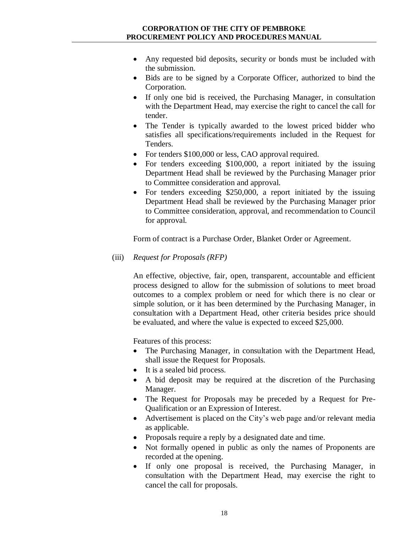- Any requested bid deposits, security or bonds must be included with the submission.
- Bids are to be signed by a Corporate Officer, authorized to bind the Corporation.
- If only one bid is received, the Purchasing Manager, in consultation with the Department Head, may exercise the right to cancel the call for tender.
- The Tender is typically awarded to the lowest priced bidder who satisfies all specifications/requirements included in the Request for Tenders.
- For tenders \$100,000 or less, CAO approval required.
- For tenders exceeding \$100,000, a report initiated by the issuing Department Head shall be reviewed by the Purchasing Manager prior to Committee consideration and approval.
- For tenders exceeding \$250,000, a report initiated by the issuing Department Head shall be reviewed by the Purchasing Manager prior to Committee consideration, approval, and recommendation to Council for approval.

Form of contract is a Purchase Order, Blanket Order or Agreement.

(iii) *Request for Proposals (RFP)*

An effective, objective, fair, open, transparent, accountable and efficient process designed to allow for the submission of solutions to meet broad outcomes to a complex problem or need for which there is no clear or simple solution, or it has been determined by the Purchasing Manager, in consultation with a Department Head, other criteria besides price should be evaluated, and where the value is expected to exceed \$25,000.

Features of this process:

- The Purchasing Manager, in consultation with the Department Head, shall issue the Request for Proposals.
- It is a sealed bid process.
- A bid deposit may be required at the discretion of the Purchasing Manager.
- The Request for Proposals may be preceded by a Request for Pre-Qualification or an Expression of Interest.
- Advertisement is placed on the City's web page and/or relevant media as applicable.
- Proposals require a reply by a designated date and time.
- Not formally opened in public as only the names of Proponents are recorded at the opening.
- If only one proposal is received, the Purchasing Manager, in consultation with the Department Head, may exercise the right to cancel the call for proposals.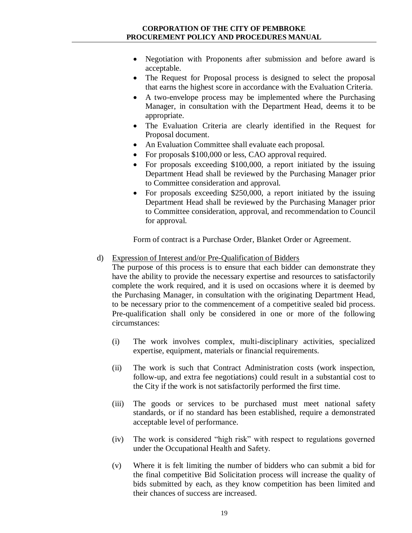- Negotiation with Proponents after submission and before award is acceptable.
- The Request for Proposal process is designed to select the proposal that earns the highest score in accordance with the Evaluation Criteria.
- A two-envelope process may be implemented where the Purchasing Manager, in consultation with the Department Head, deems it to be appropriate.
- The Evaluation Criteria are clearly identified in the Request for Proposal document.
- An Evaluation Committee shall evaluate each proposal.
- For proposals \$100,000 or less, CAO approval required.
- For proposals exceeding \$100,000, a report initiated by the issuing Department Head shall be reviewed by the Purchasing Manager prior to Committee consideration and approval.
- For proposals exceeding \$250,000, a report initiated by the issuing Department Head shall be reviewed by the Purchasing Manager prior to Committee consideration, approval, and recommendation to Council for approval.

Form of contract is a Purchase Order, Blanket Order or Agreement.

d) Expression of Interest and/or Pre-Qualification of Bidders

The purpose of this process is to ensure that each bidder can demonstrate they have the ability to provide the necessary expertise and resources to satisfactorily complete the work required, and it is used on occasions where it is deemed by the Purchasing Manager, in consultation with the originating Department Head, to be necessary prior to the commencement of a competitive sealed bid process. Pre-qualification shall only be considered in one or more of the following circumstances:

- (i) The work involves complex, multi-disciplinary activities, specialized expertise, equipment, materials or financial requirements.
- (ii) The work is such that Contract Administration costs (work inspection, follow-up, and extra fee negotiations) could result in a substantial cost to the City if the work is not satisfactorily performed the first time.
- (iii) The goods or services to be purchased must meet national safety standards, or if no standard has been established, require a demonstrated acceptable level of performance.
- (iv) The work is considered "high risk" with respect to regulations governed under the Occupational Health and Safety.
- (v) Where it is felt limiting the number of bidders who can submit a bid for the final competitive Bid Solicitation process will increase the quality of bids submitted by each, as they know competition has been limited and their chances of success are increased.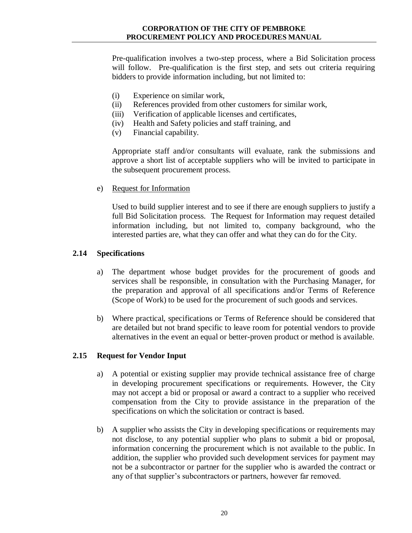Pre-qualification involves a two-step process, where a Bid Solicitation process will follow. Pre-qualification is the first step, and sets out criteria requiring bidders to provide information including, but not limited to:

- (i) Experience on similar work,
- (ii) References provided from other customers for similar work,
- (iii) Verification of applicable licenses and certificates,
- (iv) Health and Safety policies and staff training, and
- (v) Financial capability.

Appropriate staff and/or consultants will evaluate, rank the submissions and approve a short list of acceptable suppliers who will be invited to participate in the subsequent procurement process.

e) Request for Information

Used to build supplier interest and to see if there are enough suppliers to justify a full Bid Solicitation process. The Request for Information may request detailed information including, but not limited to, company background, who the interested parties are, what they can offer and what they can do for the City.

#### <span id="page-19-0"></span>**2.14 Specifications**

- a) The department whose budget provides for the procurement of goods and services shall be responsible, in consultation with the Purchasing Manager, for the preparation and approval of all specifications and/or Terms of Reference (Scope of Work) to be used for the procurement of such goods and services.
- b) Where practical, specifications or Terms of Reference should be considered that are detailed but not brand specific to leave room for potential vendors to provide alternatives in the event an equal or better-proven product or method is available.

# <span id="page-19-1"></span>**2.15 Request for Vendor Input**

- a) A potential or existing supplier may provide technical assistance free of charge in developing procurement specifications or requirements. However, the City may not accept a bid or proposal or award a contract to a supplier who received compensation from the City to provide assistance in the preparation of the specifications on which the solicitation or contract is based.
- b) A supplier who assists the City in developing specifications or requirements may not disclose, to any potential supplier who plans to submit a bid or proposal, information concerning the procurement which is not available to the public. In addition, the supplier who provided such development services for payment may not be a subcontractor or partner for the supplier who is awarded the contract or any of that supplier's subcontractors or partners, however far removed.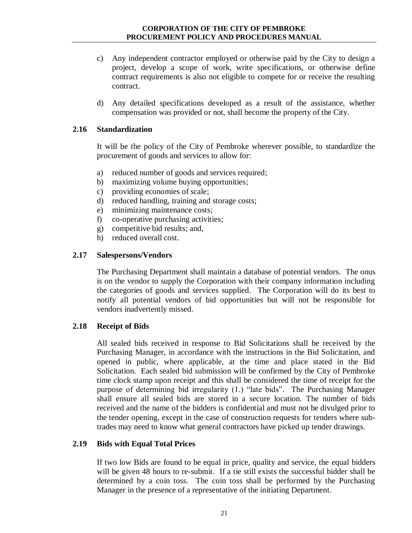- c) Any independent contractor employed or otherwise paid by the City to design a project, develop a scope of work, write specifications, or otherwise define contract requirements is also not eligible to compete for or receive the resulting contract.
- d) Any detailed specifications developed as a result of the assistance, whether compensation was provided or not, shall become the property of the City.

#### <span id="page-20-0"></span>**2.16 Standardization**

It will be the policy of the City of Pembroke wherever possible, to standardize the procurement of goods and services to allow for:

- a) reduced number of goods and services required;
- b) maximizing volume buying opportunities;
- c) providing economies of scale;
- d) reduced handling, training and storage costs;
- e) minimizing maintenance costs;
- f) co-operative purchasing activities;
- g) competitive bid results; and,
- h) reduced overall cost.

#### <span id="page-20-1"></span>**2.17 Salespersons/Vendors**

The Purchasing Department shall maintain a database of potential vendors. The onus is on the vendor to supply the Corporation with their company information including the categories of goods and services supplied. The Corporation will do its best to notify all potential vendors of bid opportunities but will not be responsible for vendors inadvertently missed.

# <span id="page-20-2"></span>**2.18 Receipt of Bids**

All sealed bids received in response to Bid Solicitations shall be received by the Purchasing Manager, in accordance with the instructions in the Bid Solicitation, and opened in public, where applicable, at the time and place stated in the Bid Solicitation. Each sealed bid submission will be confirmed by the City of Pembroke time clock stamp upon receipt and this shall be considered the time of receipt for the purpose of determining bid irregularity (1.) "late bids". The Purchasing Manager shall ensure all sealed bids are stored in a secure location. The number of bids received and the name of the bidders is confidential and must not be divulged prior to the tender opening, except in the case of construction requests for tenders where subtrades may need to know what general contractors have picked up tender drawings.

#### <span id="page-20-3"></span>**2.19 Bids with Equal Total Prices**

If two low Bids are found to be equal in price, quality and service, the equal bidders will be given 48 hours to re-submit. If a tie still exists the successful bidder shall be determined by a coin toss. The coin toss shall be performed by the Purchasing Manager in the presence of a representative of the initiating Department.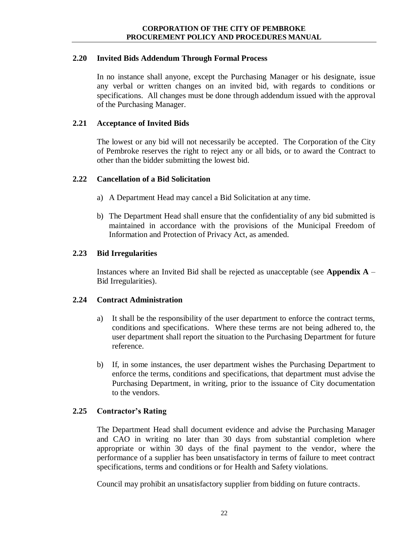# <span id="page-21-0"></span>**2.20 Invited Bids Addendum Through Formal Process**

In no instance shall anyone, except the Purchasing Manager or his designate, issue any verbal or written changes on an invited bid, with regards to conditions or specifications. All changes must be done through addendum issued with the approval of the Purchasing Manager.

#### <span id="page-21-1"></span>**2.21 Acceptance of Invited Bids**

The lowest or any bid will not necessarily be accepted. The Corporation of the City of Pembroke reserves the right to reject any or all bids, or to award the Contract to other than the bidder submitting the lowest bid.

#### <span id="page-21-2"></span>**2.22 Cancellation of a Bid Solicitation**

- a) A Department Head may cancel a Bid Solicitation at any time.
- b) The Department Head shall ensure that the confidentiality of any bid submitted is maintained in accordance with the provisions of the Municipal Freedom of Information and Protection of Privacy Act, as amended.

# <span id="page-21-3"></span>**2.23 Bid Irregularities**

Instances where an Invited Bid shall be rejected as unacceptable (see **Appendix A** – Bid Irregularities).

# <span id="page-21-4"></span>**2.24 Contract Administration**

- a) It shall be the responsibility of the user department to enforce the contract terms, conditions and specifications. Where these terms are not being adhered to, the user department shall report the situation to the Purchasing Department for future reference.
- b) If, in some instances, the user department wishes the Purchasing Department to enforce the terms, conditions and specifications, that department must advise the Purchasing Department, in writing, prior to the issuance of City documentation to the vendors.

# <span id="page-21-5"></span>**2.25 Contractor's Rating**

The Department Head shall document evidence and advise the Purchasing Manager and CAO in writing no later than 30 days from substantial completion where appropriate or within 30 days of the final payment to the vendor, where the performance of a supplier has been unsatisfactory in terms of failure to meet contract specifications, terms and conditions or for Health and Safety violations.

Council may prohibit an unsatisfactory supplier from bidding on future contracts.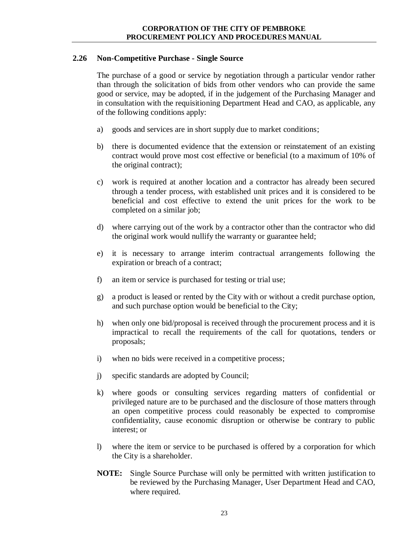# <span id="page-22-0"></span>**2.26 Non-Competitive Purchase - Single Source**

The purchase of a good or service by negotiation through a particular vendor rather than through the solicitation of bids from other vendors who can provide the same good or service, may be adopted, if in the judgement of the Purchasing Manager and in consultation with the requisitioning Department Head and CAO, as applicable, any of the following conditions apply:

- a) goods and services are in short supply due to market conditions;
- b) there is documented evidence that the extension or reinstatement of an existing contract would prove most cost effective or beneficial (to a maximum of 10% of the original contract);
- c) work is required at another location and a contractor has already been secured through a tender process, with established unit prices and it is considered to be beneficial and cost effective to extend the unit prices for the work to be completed on a similar job;
- d) where carrying out of the work by a contractor other than the contractor who did the original work would nullify the warranty or guarantee held;
- e) it is necessary to arrange interim contractual arrangements following the expiration or breach of a contract;
- f) an item or service is purchased for testing or trial use;
- g) a product is leased or rented by the City with or without a credit purchase option, and such purchase option would be beneficial to the City;
- h) when only one bid/proposal is received through the procurement process and it is impractical to recall the requirements of the call for quotations, tenders or proposals;
- i) when no bids were received in a competitive process;
- j) specific standards are adopted by Council;
- k) where goods or consulting services regarding matters of confidential or privileged nature are to be purchased and the disclosure of those matters through an open competitive process could reasonably be expected to compromise confidentiality, cause economic disruption or otherwise be contrary to public interest; or
- l) where the item or service to be purchased is offered by a corporation for which the City is a shareholder.
- **NOTE:** Single Source Purchase will only be permitted with written justification to be reviewed by the Purchasing Manager, User Department Head and CAO, where required.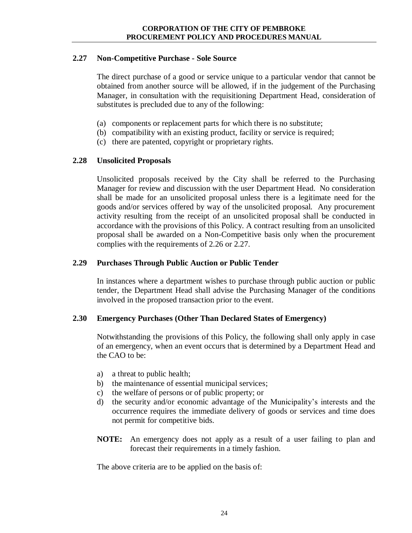#### <span id="page-23-0"></span>**2.27 Non-Competitive Purchase - Sole Source**

The direct purchase of a good or service unique to a particular vendor that cannot be obtained from another source will be allowed, if in the judgement of the Purchasing Manager, in consultation with the requisitioning Department Head, consideration of substitutes is precluded due to any of the following:

- (a) components or replacement parts for which there is no substitute;
- (b) compatibility with an existing product, facility or service is required;
- (c) there are patented, copyright or proprietary rights.

# <span id="page-23-1"></span>**2.28 Unsolicited Proposals**

Unsolicited proposals received by the City shall be referred to the Purchasing Manager for review and discussion with the user Department Head. No consideration shall be made for an unsolicited proposal unless there is a legitimate need for the goods and/or services offered by way of the unsolicited proposal. Any procurement activity resulting from the receipt of an unsolicited proposal shall be conducted in accordance with the provisions of this Policy. A contract resulting from an unsolicited proposal shall be awarded on a Non-Competitive basis only when the procurement complies with the requirements of 2.26 or 2.27.

#### <span id="page-23-2"></span>**2.29 Purchases Through Public Auction or Public Tender**

In instances where a department wishes to purchase through public auction or public tender, the Department Head shall advise the Purchasing Manager of the conditions involved in the proposed transaction prior to the event.

# <span id="page-23-3"></span>**2.30 Emergency Purchases (Other Than Declared States of Emergency)**

Notwithstanding the provisions of this Policy, the following shall only apply in case of an emergency, when an event occurs that is determined by a Department Head and the CAO to be:

- a) a threat to public health;
- b) the maintenance of essential municipal services;
- c) the welfare of persons or of public property; or
- d) the security and/or economic advantage of the Municipality's interests and the occurrence requires the immediate delivery of goods or services and time does not permit for competitive bids.
- **NOTE:** An emergency does not apply as a result of a user failing to plan and forecast their requirements in a timely fashion.

The above criteria are to be applied on the basis of: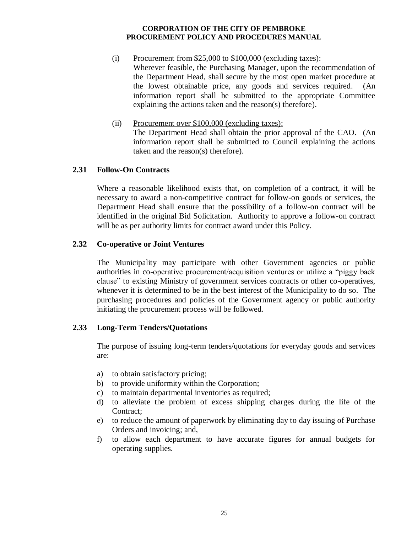- (i) Procurement from  $$25,000$  to  $$100,000$  (excluding taxes): Wherever feasible, the Purchasing Manager, upon the recommendation of the Department Head, shall secure by the most open market procedure at the lowest obtainable price, any goods and services required. (An information report shall be submitted to the appropriate Committee explaining the actions taken and the reason(s) therefore).
- (ii) Procurement over \$100,000 (excluding taxes): The Department Head shall obtain the prior approval of the CAO. (An information report shall be submitted to Council explaining the actions taken and the reason(s) therefore).

#### <span id="page-24-0"></span>**2.31 Follow-On Contracts**

Where a reasonable likelihood exists that, on completion of a contract, it will be necessary to award a non-competitive contract for follow-on goods or services, the Department Head shall ensure that the possibility of a follow-on contract will be identified in the original Bid Solicitation. Authority to approve a follow-on contract will be as per authority limits for contract award under this Policy.

#### <span id="page-24-1"></span>**2.32 Co-operative or Joint Ventures**

The Municipality may participate with other Government agencies or public authorities in co-operative procurement/acquisition ventures or utilize a "piggy back clause" to existing Ministry of government services contracts or other co-operatives, whenever it is determined to be in the best interest of the Municipality to do so. The purchasing procedures and policies of the Government agency or public authority initiating the procurement process will be followed.

#### <span id="page-24-2"></span>**2.33 Long-Term Tenders/Quotations**

The purpose of issuing long-term tenders/quotations for everyday goods and services are:

- a) to obtain satisfactory pricing;
- b) to provide uniformity within the Corporation;
- c) to maintain departmental inventories as required;
- d) to alleviate the problem of excess shipping charges during the life of the Contract;
- e) to reduce the amount of paperwork by eliminating day to day issuing of Purchase Orders and invoicing; and,
- f) to allow each department to have accurate figures for annual budgets for operating supplies.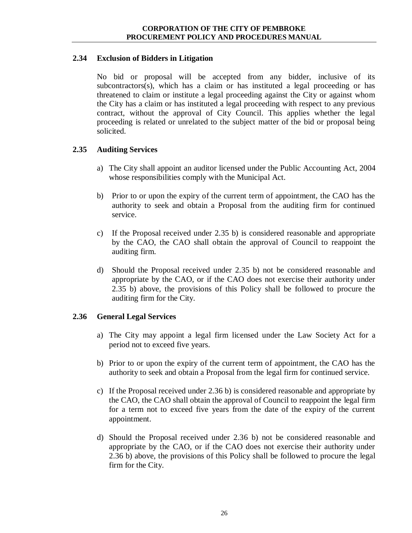# <span id="page-25-0"></span>**2.34 Exclusion of Bidders in Litigation**

No bid or proposal will be accepted from any bidder, inclusive of its subcontractors(s), which has a claim or has instituted a legal proceeding or has threatened to claim or institute a legal proceeding against the City or against whom the City has a claim or has instituted a legal proceeding with respect to any previous contract, without the approval of City Council. This applies whether the legal proceeding is related or unrelated to the subject matter of the bid or proposal being solicited.

# <span id="page-25-1"></span>**2.35 Auditing Services**

- a) The City shall appoint an auditor licensed under the Public Accounting Act, 2004 whose responsibilities comply with the Municipal Act.
- b) Prior to or upon the expiry of the current term of appointment, the CAO has the authority to seek and obtain a Proposal from the auditing firm for continued service.
- c) If the Proposal received under 2.35 b) is considered reasonable and appropriate by the CAO, the CAO shall obtain the approval of Council to reappoint the auditing firm.
- d) Should the Proposal received under 2.35 b) not be considered reasonable and appropriate by the CAO, or if the CAO does not exercise their authority under 2.35 b) above, the provisions of this Policy shall be followed to procure the auditing firm for the City.

# <span id="page-25-2"></span>**2.36 General Legal Services**

- a) The City may appoint a legal firm licensed under the Law Society Act for a period not to exceed five years.
- b) Prior to or upon the expiry of the current term of appointment, the CAO has the authority to seek and obtain a Proposal from the legal firm for continued service.
- c) If the Proposal received under 2.36 b) is considered reasonable and appropriate by the CAO, the CAO shall obtain the approval of Council to reappoint the legal firm for a term not to exceed five years from the date of the expiry of the current appointment.
- d) Should the Proposal received under 2.36 b) not be considered reasonable and appropriate by the CAO, or if the CAO does not exercise their authority under 2.36 b) above, the provisions of this Policy shall be followed to procure the legal firm for the City.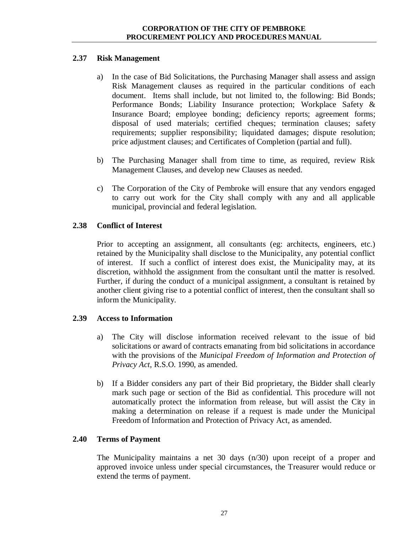#### <span id="page-26-0"></span>**2.37 Risk Management**

- a) In the case of Bid Solicitations, the Purchasing Manager shall assess and assign Risk Management clauses as required in the particular conditions of each document. Items shall include, but not limited to, the following: Bid Bonds; Performance Bonds; Liability Insurance protection; Workplace Safety & Insurance Board; employee bonding; deficiency reports; agreement forms; disposal of used materials; certified cheques; termination clauses; safety requirements; supplier responsibility; liquidated damages; dispute resolution; price adjustment clauses; and Certificates of Completion (partial and full).
- b) The Purchasing Manager shall from time to time, as required, review Risk Management Clauses, and develop new Clauses as needed.
- c) The Corporation of the City of Pembroke will ensure that any vendors engaged to carry out work for the City shall comply with any and all applicable municipal, provincial and federal legislation.

# <span id="page-26-1"></span>**2.38 Conflict of Interest**

Prior to accepting an assignment, all consultants (eg: architects, engineers, etc.) retained by the Municipality shall disclose to the Municipality, any potential conflict of interest. If such a conflict of interest does exist, the Municipality may, at its discretion, withhold the assignment from the consultant until the matter is resolved. Further, if during the conduct of a municipal assignment, a consultant is retained by another client giving rise to a potential conflict of interest, then the consultant shall so inform the Municipality.

# <span id="page-26-2"></span>**2.39 Access to Information**

- a) The City will disclose information received relevant to the issue of bid solicitations or award of contracts emanating from bid solicitations in accordance with the provisions of the *Municipal Freedom of Information and Protection of Privacy Act*, R.S.O. 1990, as amended.
- b) If a Bidder considers any part of their Bid proprietary, the Bidder shall clearly mark such page or section of the Bid as confidential. This procedure will not automatically protect the information from release, but will assist the City in making a determination on release if a request is made under the Municipal Freedom of Information and Protection of Privacy Act, as amended.

# <span id="page-26-3"></span>**2.40 Terms of Payment**

The Municipality maintains a net 30 days (n/30) upon receipt of a proper and approved invoice unless under special circumstances, the Treasurer would reduce or extend the terms of payment.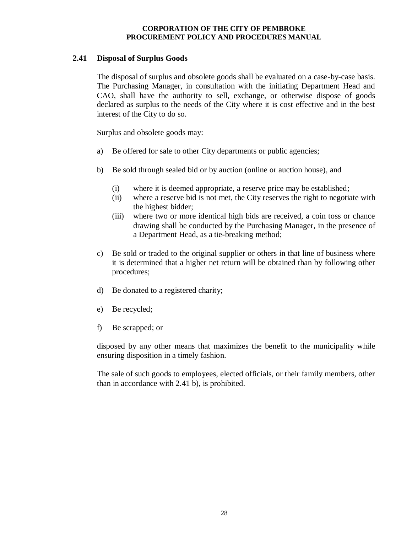# <span id="page-27-0"></span>**2.41 Disposal of Surplus Goods**

The disposal of surplus and obsolete goods shall be evaluated on a case-by-case basis. The Purchasing Manager, in consultation with the initiating Department Head and CAO, shall have the authority to sell, exchange, or otherwise dispose of goods declared as surplus to the needs of the City where it is cost effective and in the best interest of the City to do so.

Surplus and obsolete goods may:

- a) Be offered for sale to other City departments or public agencies;
- b) Be sold through sealed bid or by auction (online or auction house), and
	- (i) where it is deemed appropriate, a reserve price may be established;
	- (ii) where a reserve bid is not met, the City reserves the right to negotiate with the highest bidder;
	- (iii) where two or more identical high bids are received, a coin toss or chance drawing shall be conducted by the Purchasing Manager, in the presence of a Department Head, as a tie-breaking method;
- c) Be sold or traded to the original supplier or others in that line of business where it is determined that a higher net return will be obtained than by following other procedures;
- d) Be donated to a registered charity;
- e) Be recycled;
- f) Be scrapped; or

disposed by any other means that maximizes the benefit to the municipality while ensuring disposition in a timely fashion.

The sale of such goods to employees, elected officials, or their family members, other than in accordance with 2.41 b), is prohibited.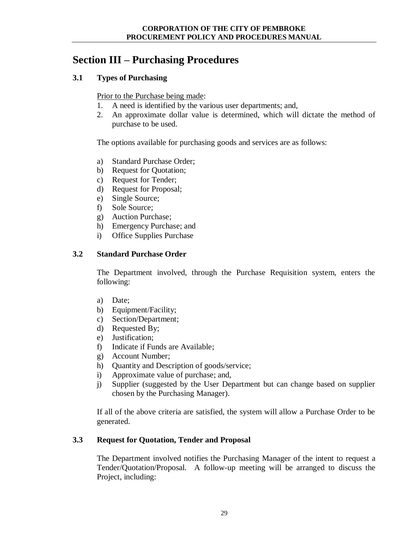# <span id="page-28-0"></span>**Section III – Purchasing Procedures**

# <span id="page-28-1"></span>**3.1 Types of Purchasing**

Prior to the Purchase being made:

- 1. A need is identified by the various user departments; and,
- 2. An approximate dollar value is determined, which will dictate the method of purchase to be used.

The options available for purchasing goods and services are as follows:

- a) Standard Purchase Order;
- b) Request for Quotation;
- c) Request for Tender;
- d) Request for Proposal;
- e) Single Source;
- f) Sole Source;
- g) Auction Purchase;
- h) Emergency Purchase; and
- i) Office Supplies Purchase

#### <span id="page-28-2"></span>**3.2 Standard Purchase Order**

The Department involved, through the Purchase Requisition system, enters the following:

- a) Date;
- b) Equipment/Facility;
- c) Section/Department;
- d) Requested By;
- e) Justification;
- f) Indicate if Funds are Available;
- g) Account Number;
- h) Quantity and Description of goods/service;
- i) Approximate value of purchase; and,
- j) Supplier (suggested by the User Department but can change based on supplier chosen by the Purchasing Manager).

If all of the above criteria are satisfied, the system will allow a Purchase Order to be generated.

# <span id="page-28-3"></span>**3.3 Request for Quotation, Tender and Proposal**

The Department involved notifies the Purchasing Manager of the intent to request a Tender/Quotation/Proposal. A follow-up meeting will be arranged to discuss the Project, including: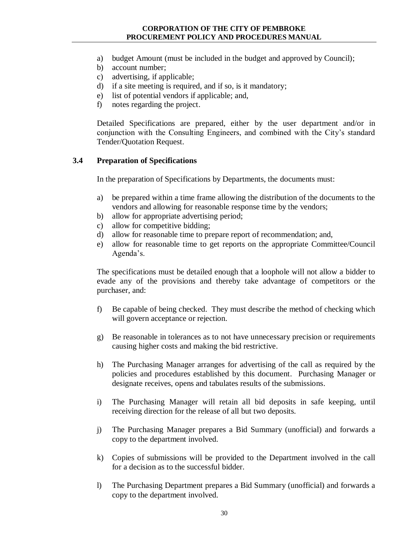- a) budget Amount (must be included in the budget and approved by Council);
- b) account number;
- c) advertising, if applicable;
- d) if a site meeting is required, and if so, is it mandatory;
- e) list of potential vendors if applicable; and,
- f) notes regarding the project.

Detailed Specifications are prepared, either by the user department and/or in conjunction with the Consulting Engineers, and combined with the City's standard Tender/Quotation Request.

#### <span id="page-29-0"></span>**3.4 Preparation of Specifications**

In the preparation of Specifications by Departments, the documents must:

- a) be prepared within a time frame allowing the distribution of the documents to the vendors and allowing for reasonable response time by the vendors;
- b) allow for appropriate advertising period;
- c) allow for competitive bidding;
- d) allow for reasonable time to prepare report of recommendation; and,
- e) allow for reasonable time to get reports on the appropriate Committee/Council Agenda's.

The specifications must be detailed enough that a loophole will not allow a bidder to evade any of the provisions and thereby take advantage of competitors or the purchaser, and:

- f) Be capable of being checked. They must describe the method of checking which will govern acceptance or rejection.
- g) Be reasonable in tolerances as to not have unnecessary precision or requirements causing higher costs and making the bid restrictive.
- h) The Purchasing Manager arranges for advertising of the call as required by the policies and procedures established by this document. Purchasing Manager or designate receives, opens and tabulates results of the submissions.
- i) The Purchasing Manager will retain all bid deposits in safe keeping, until receiving direction for the release of all but two deposits.
- j) The Purchasing Manager prepares a Bid Summary (unofficial) and forwards a copy to the department involved.
- k) Copies of submissions will be provided to the Department involved in the call for a decision as to the successful bidder.
- l) The Purchasing Department prepares a Bid Summary (unofficial) and forwards a copy to the department involved.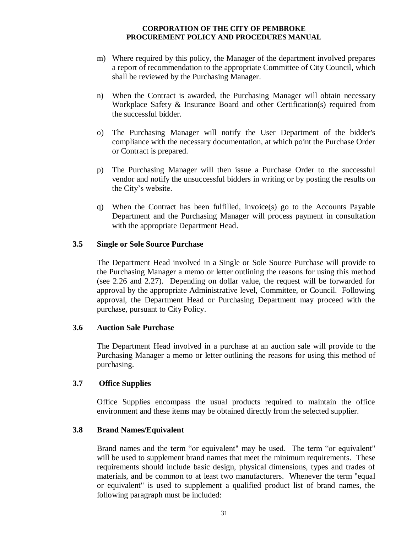- m) Where required by this policy, the Manager of the department involved prepares a report of recommendation to the appropriate Committee of City Council, which shall be reviewed by the Purchasing Manager.
- n) When the Contract is awarded, the Purchasing Manager will obtain necessary Workplace Safety & Insurance Board and other Certification(s) required from the successful bidder.
- o) The Purchasing Manager will notify the User Department of the bidder's compliance with the necessary documentation, at which point the Purchase Order or Contract is prepared.
- p) The Purchasing Manager will then issue a Purchase Order to the successful vendor and notify the unsuccessful bidders in writing or by posting the results on the City's website.
- q) When the Contract has been fulfilled, invoice(s) go to the Accounts Payable Department and the Purchasing Manager will process payment in consultation with the appropriate Department Head.

#### <span id="page-30-0"></span>**3.5 Single or Sole Source Purchase**

The Department Head involved in a Single or Sole Source Purchase will provide to the Purchasing Manager a memo or letter outlining the reasons for using this method (see 2.26 and 2.27). Depending on dollar value, the request will be forwarded for approval by the appropriate Administrative level, Committee, or Council. Following approval, the Department Head or Purchasing Department may proceed with the purchase, pursuant to City Policy.

#### <span id="page-30-1"></span>**3.6 Auction Sale Purchase**

The Department Head involved in a purchase at an auction sale will provide to the Purchasing Manager a memo or letter outlining the reasons for using this method of purchasing.

#### **3.7 Office Supplies**

<span id="page-30-2"></span>Office Supplies encompass the usual products required to maintain the office environment and these items may be obtained directly from the selected supplier.

#### <span id="page-30-3"></span>**3.8 Brand Names/Equivalent**

Brand names and the term "or equivalent" may be used. The term "or equivalent" will be used to supplement brand names that meet the minimum requirements. These requirements should include basic design, physical dimensions, types and trades of materials, and be common to at least two manufacturers. Whenever the term "equal or equivalent" is used to supplement a qualified product list of brand names, the following paragraph must be included: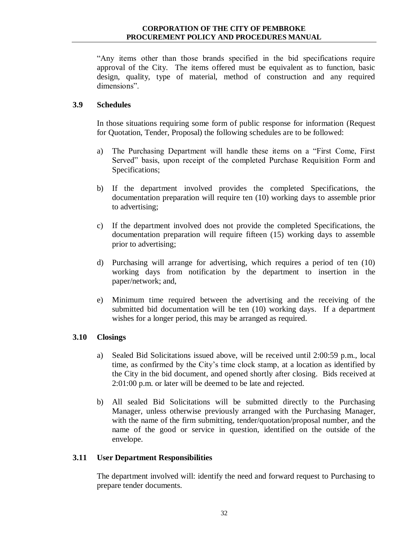"Any items other than those brands specified in the bid specifications require approval of the City. The items offered must be equivalent as to function, basic design, quality, type of material, method of construction and any required dimensions".

#### <span id="page-31-0"></span>**3.9 Schedules**

In those situations requiring some form of public response for information (Request for Quotation, Tender, Proposal) the following schedules are to be followed:

- a) The Purchasing Department will handle these items on a "First Come, First Served" basis, upon receipt of the completed Purchase Requisition Form and Specifications;
- b) If the department involved provides the completed Specifications, the documentation preparation will require ten (10) working days to assemble prior to advertising;
- c) If the department involved does not provide the completed Specifications, the documentation preparation will require fifteen (15) working days to assemble prior to advertising;
- d) Purchasing will arrange for advertising, which requires a period of ten (10) working days from notification by the department to insertion in the paper/network; and,
- e) Minimum time required between the advertising and the receiving of the submitted bid documentation will be ten (10) working days. If a department wishes for a longer period, this may be arranged as required.

# <span id="page-31-1"></span>**3.10 Closings**

- a) Sealed Bid Solicitations issued above, will be received until 2:00:59 p.m., local time, as confirmed by the City's time clock stamp, at a location as identified by the City in the bid document, and opened shortly after closing. Bids received at 2:01:00 p.m. or later will be deemed to be late and rejected.
- b) All sealed Bid Solicitations will be submitted directly to the Purchasing Manager, unless otherwise previously arranged with the Purchasing Manager, with the name of the firm submitting, tender/quotation/proposal number, and the name of the good or service in question, identified on the outside of the envelope.

#### <span id="page-31-2"></span>**3.11 User Department Responsibilities**

The department involved will: identify the need and forward request to Purchasing to prepare tender documents.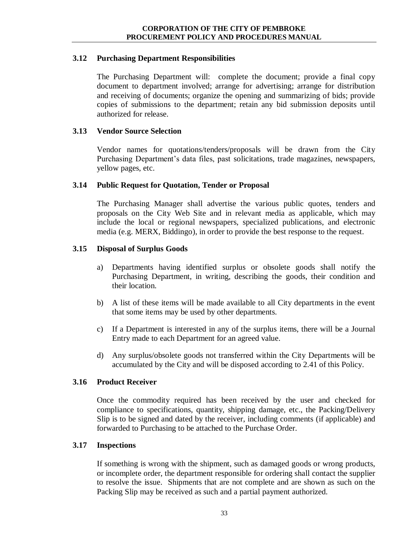#### <span id="page-32-0"></span>**3.12 Purchasing Department Responsibilities**

The Purchasing Department will: complete the document; provide a final copy document to department involved; arrange for advertising; arrange for distribution and receiving of documents; organize the opening and summarizing of bids; provide copies of submissions to the department; retain any bid submission deposits until authorized for release.

#### <span id="page-32-1"></span>**3.13 Vendor Source Selection**

Vendor names for quotations/tenders/proposals will be drawn from the City Purchasing Department's data files, past solicitations, trade magazines, newspapers, yellow pages, etc.

#### <span id="page-32-2"></span>**3.14 Public Request for Quotation, Tender or Proposal**

The Purchasing Manager shall advertise the various public quotes, tenders and proposals on the City Web Site and in relevant media as applicable, which may include the local or regional newspapers, specialized publications, and electronic media (e.g. MERX, Biddingo), in order to provide the best response to the request.

#### <span id="page-32-3"></span>**3.15 Disposal of Surplus Goods**

- a) Departments having identified surplus or obsolete goods shall notify the Purchasing Department, in writing, describing the goods, their condition and their location.
- b) A list of these items will be made available to all City departments in the event that some items may be used by other departments.
- c) If a Department is interested in any of the surplus items, there will be a Journal Entry made to each Department for an agreed value.
- d) Any surplus/obsolete goods not transferred within the City Departments will be accumulated by the City and will be disposed according to 2.41 of this Policy.

#### <span id="page-32-4"></span>**3.16 Product Receiver**

Once the commodity required has been received by the user and checked for compliance to specifications, quantity, shipping damage, etc., the Packing/Delivery Slip is to be signed and dated by the receiver, including comments (if applicable) and forwarded to Purchasing to be attached to the Purchase Order.

#### <span id="page-32-5"></span>**3.17 Inspections**

If something is wrong with the shipment, such as damaged goods or wrong products, or incomplete order, the department responsible for ordering shall contact the supplier to resolve the issue. Shipments that are not complete and are shown as such on the Packing Slip may be received as such and a partial payment authorized.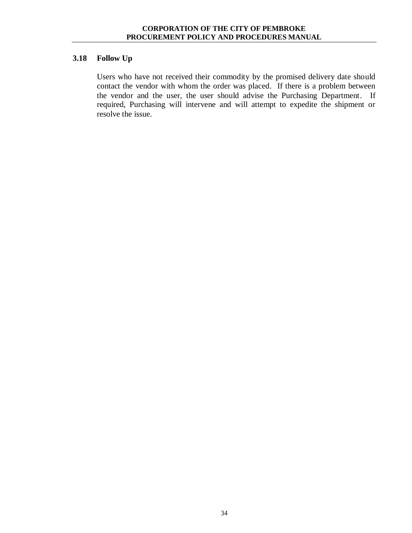# <span id="page-33-0"></span>**3.18 Follow Up**

Users who have not received their commodity by the promised delivery date should contact the vendor with whom the order was placed. If there is a problem between the vendor and the user, the user should advise the Purchasing Department. If required, Purchasing will intervene and will attempt to expedite the shipment or resolve the issue.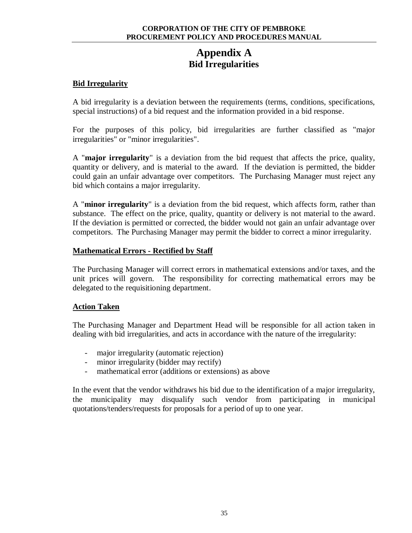# **Appendix A Bid Irregularities**

#### <span id="page-34-0"></span>**Bid Irregularity**

A bid irregularity is a deviation between the requirements (terms, conditions, specifications, special instructions) of a bid request and the information provided in a bid response.

For the purposes of this policy, bid irregularities are further classified as "major irregularities" or "minor irregularities".

A "**major irregularity**" is a deviation from the bid request that affects the price, quality, quantity or delivery, and is material to the award. If the deviation is permitted, the bidder could gain an unfair advantage over competitors. The Purchasing Manager must reject any bid which contains a major irregularity.

A "**minor irregularity**" is a deviation from the bid request, which affects form, rather than substance. The effect on the price, quality, quantity or delivery is not material to the award. If the deviation is permitted or corrected, the bidder would not gain an unfair advantage over competitors. The Purchasing Manager may permit the bidder to correct a minor irregularity.

#### **Mathematical Errors - Rectified by Staff**

The Purchasing Manager will correct errors in mathematical extensions and/or taxes, and the unit prices will govern. The responsibility for correcting mathematical errors may be delegated to the requisitioning department.

#### **Action Taken**

The Purchasing Manager and Department Head will be responsible for all action taken in dealing with bid irregularities, and acts in accordance with the nature of the irregularity:

- major irregularity (automatic rejection)
- minor irregularity (bidder may rectify)
- mathematical error (additions or extensions) as above

In the event that the vendor withdraws his bid due to the identification of a major irregularity, the municipality may disqualify such vendor from participating in municipal quotations/tenders/requests for proposals for a period of up to one year.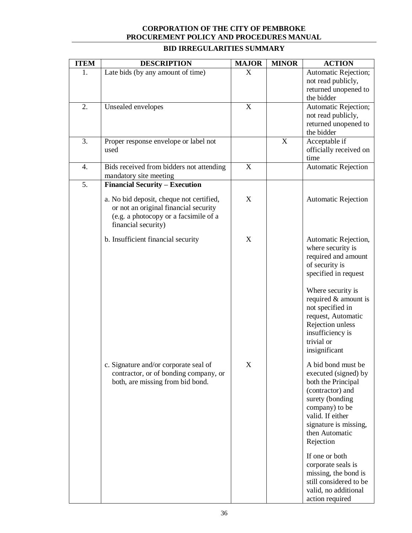| <b>ITEM</b> | <b>DESCRIPTION</b>                                                                                                                                                                         | <b>MAJOR</b> | <b>MINOR</b> | <b>ACTION</b>                                                                                                                                                                                                                                                            |
|-------------|--------------------------------------------------------------------------------------------------------------------------------------------------------------------------------------------|--------------|--------------|--------------------------------------------------------------------------------------------------------------------------------------------------------------------------------------------------------------------------------------------------------------------------|
| 1.          | Late bids (by any amount of time)                                                                                                                                                          | X            |              | Automatic Rejection;<br>not read publicly,<br>returned unopened to<br>the bidder                                                                                                                                                                                         |
| 2.          | Unsealed envelopes                                                                                                                                                                         | $\mathbf X$  |              | Automatic Rejection;<br>not read publicly,<br>returned unopened to<br>the bidder                                                                                                                                                                                         |
| 3.          | Proper response envelope or label not<br>used                                                                                                                                              |              | $\mathbf X$  | Acceptable if<br>officially received on<br>time                                                                                                                                                                                                                          |
| 4.          | Bids received from bidders not attending<br>mandatory site meeting                                                                                                                         | $\mathbf X$  |              | <b>Automatic Rejection</b>                                                                                                                                                                                                                                               |
| 5.          | <b>Financial Security - Execution</b><br>a. No bid deposit, cheque not certified,<br>or not an original financial security<br>(e.g. a photocopy or a facsimile of a<br>financial security) | X            |              | <b>Automatic Rejection</b>                                                                                                                                                                                                                                               |
|             | b. Insufficient financial security                                                                                                                                                         | X            |              | Automatic Rejection,<br>where security is<br>required and amount<br>of security is<br>specified in request<br>Where security is<br>required & amount is<br>not specified in<br>request, Automatic<br>Rejection unless<br>insufficiency is<br>trivial or<br>insignificant |
|             | c. Signature and/or corporate seal of<br>contractor, or of bonding company, or<br>both, are missing from bid bond.                                                                         | X            |              | A bid bond must be<br>executed (signed) by<br>both the Principal<br>(contractor) and<br>surety (bonding<br>company) to be<br>valid. If either<br>signature is missing,<br>then Automatic<br>Rejection<br>If one or both<br>corporate seals is                            |
|             |                                                                                                                                                                                            |              |              | missing, the bond is<br>still considered to be<br>valid, no additional<br>action required                                                                                                                                                                                |

# **BID IRREGULARITIES SUMMARY**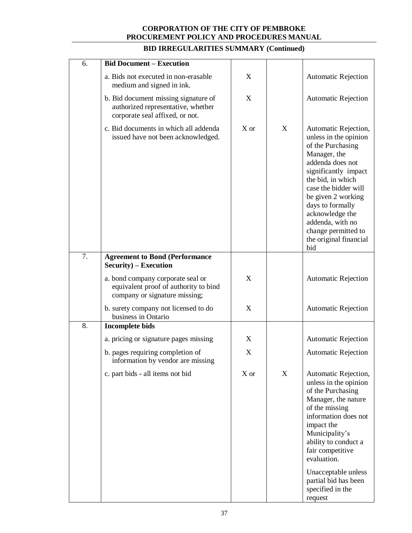| <b>Bid Document - Execution</b>                                                                               |                           |   |                                                                                                                                                                                                                                                                                                                      |
|---------------------------------------------------------------------------------------------------------------|---------------------------|---|----------------------------------------------------------------------------------------------------------------------------------------------------------------------------------------------------------------------------------------------------------------------------------------------------------------------|
| a. Bids not executed in non-erasable<br>medium and signed in ink.                                             | $\boldsymbol{\mathrm{X}}$ |   | <b>Automatic Rejection</b>                                                                                                                                                                                                                                                                                           |
| b. Bid document missing signature of<br>authorized representative, whether<br>corporate seal affixed, or not. | X                         |   | <b>Automatic Rejection</b>                                                                                                                                                                                                                                                                                           |
| c. Bid documents in which all addenda<br>issued have not been acknowledged.                                   | X or                      | X | Automatic Rejection,<br>unless in the opinion<br>of the Purchasing<br>Manager, the<br>addenda does not<br>significantly impact<br>the bid, in which<br>case the bidder will<br>be given 2 working<br>days to formally<br>acknowledge the<br>addenda, with no<br>change permitted to<br>the original financial<br>bid |
| <b>Agreement to Bond (Performance</b><br>Security) – Execution                                                |                           |   |                                                                                                                                                                                                                                                                                                                      |
| a. bond company corporate seal or<br>equivalent proof of authority to bind<br>company or signature missing;   | $\boldsymbol{\mathrm{X}}$ |   | <b>Automatic Rejection</b>                                                                                                                                                                                                                                                                                           |
| b. surety company not licensed to do<br>business in Ontario                                                   | $\mathbf X$               |   | <b>Automatic Rejection</b>                                                                                                                                                                                                                                                                                           |
| <b>Incomplete bids</b>                                                                                        |                           |   |                                                                                                                                                                                                                                                                                                                      |
| a. pricing or signature pages missing                                                                         | X                         |   | <b>Automatic Rejection</b>                                                                                                                                                                                                                                                                                           |
| b. pages requiring completion of<br>information by vendor are missing                                         | $\boldsymbol{\mathrm{X}}$ |   | <b>Automatic Rejection</b>                                                                                                                                                                                                                                                                                           |
| c. part bids - all items not bid                                                                              | X or                      | X | Automatic Rejection,<br>unless in the opinion<br>of the Purchasing<br>Manager, the nature<br>of the missing<br>information does not<br>impact the<br>Municipality's<br>ability to conduct a<br>fair competitive<br>evaluation.<br>Unacceptable unless<br>partial bid has been                                        |
|                                                                                                               |                           |   |                                                                                                                                                                                                                                                                                                                      |

# **BID IRREGULARITIES SUMMARY (Continued)**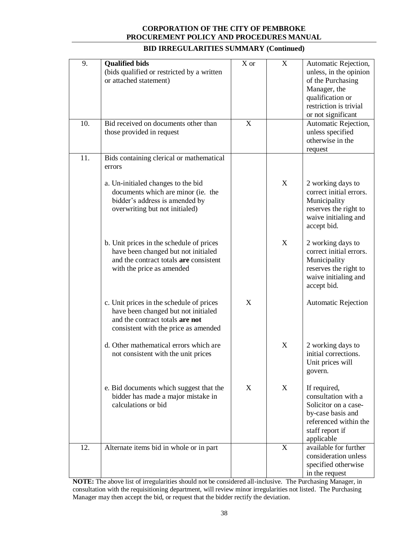| 9.  | <b>Qualified bids</b><br>(bids qualified or restricted by a written<br>or attached statement)                                                              | X or        | X                         | Automatic Rejection,<br>unless, in the opinion<br>of the Purchasing<br>Manager, the<br>qualification or<br>restriction is trivial<br>or not significant |
|-----|------------------------------------------------------------------------------------------------------------------------------------------------------------|-------------|---------------------------|---------------------------------------------------------------------------------------------------------------------------------------------------------|
| 10. | Bid received on documents other than<br>those provided in request                                                                                          | $\mathbf X$ |                           | Automatic Rejection,<br>unless specified<br>otherwise in the<br>request                                                                                 |
| 11. | Bids containing clerical or mathematical<br>errors                                                                                                         |             |                           |                                                                                                                                                         |
|     | a. Un-initialed changes to the bid<br>documents which are minor (ie. the<br>bidder's address is amended by<br>overwriting but not initialed)               |             | X                         | 2 working days to<br>correct initial errors.<br>Municipality<br>reserves the right to<br>waive initialing and<br>accept bid.                            |
|     | b. Unit prices in the schedule of prices<br>have been changed but not initialed<br>and the contract totals are consistent<br>with the price as amended     |             | X                         | 2 working days to<br>correct initial errors.<br>Municipality<br>reserves the right to<br>waive initialing and<br>accept bid.                            |
|     | c. Unit prices in the schedule of prices<br>have been changed but not initialed<br>and the contract totals are not<br>consistent with the price as amended | X           |                           | <b>Automatic Rejection</b>                                                                                                                              |
|     | d. Other mathematical errors which are<br>not consistent with the unit prices                                                                              |             | $\boldsymbol{\mathrm{X}}$ | 2 working days to<br>initial corrections.<br>Unit prices will<br>govern.                                                                                |
|     | e. Bid documents which suggest that the<br>bidder has made a major mistake in<br>calculations or bid                                                       | X           | X                         | If required,<br>consultation with a<br>Solicitor on a case-<br>by-case basis and<br>referenced within the<br>staff report if<br>applicable              |
| 12. | Alternate items bid in whole or in part                                                                                                                    |             | $\mathbf X$               | available for further<br>consideration unless<br>specified otherwise<br>in the request                                                                  |

#### **BID IRREGULARITIES SUMMARY (Continued)**

**NOTE:** The above list of irregularities should not be considered all-inclusive. The Purchasing Manager, in consultation with the requisitioning department, will review minor irregularities not listed. The Purchasing Manager may then accept the bid, or request that the bidder rectify the deviation.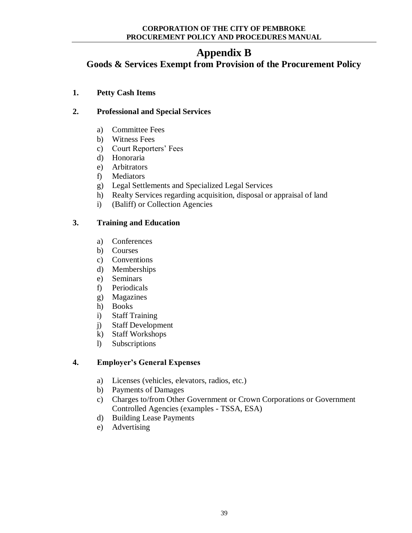# **Appendix B**

<span id="page-38-0"></span>**Goods & Services Exempt from Provision of the Procurement Policy**

**1. Petty Cash Items** 

# **2. Professional and Special Services**

- a) Committee Fees
- b) Witness Fees
- c) Court Reporters' Fees
- d) Honoraria
- e) Arbitrators
- f) Mediators
- g) Legal Settlements and Specialized Legal Services
- h) Realty Services regarding acquisition, disposal or appraisal of land
- i) (Baliff) or Collection Agencies

# **3. Training and Education**

- a) Conferences
- b) Courses
- c) Conventions
- d) Memberships
- e) Seminars
- f) Periodicals
- g) Magazines
- h) Books
- i) Staff Training
- j) Staff Development
- k) Staff Workshops
- l) Subscriptions

# **4. Employer's General Expenses**

- a) Licenses (vehicles, elevators, radios, etc.)
- b) Payments of Damages
- c) Charges to/from Other Government or Crown Corporations or Government Controlled Agencies (examples - TSSA, ESA)
- d) Building Lease Payments
- e) Advertising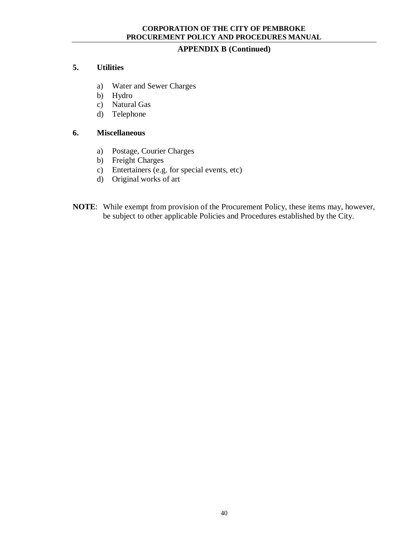#### **APPENDIX B (Continued)**

#### **5. Utilities**

- a) Water and Sewer Charges
- b) Hydro
- c) Natural Gas
- d) Telephone

#### **6. Miscellaneous**

- a) Postage, Courier Charges
- b) Freight Charges
- c) Entertainers (e.g. for special events, etc)
- d) Original works of art
- **NOTE**: While exempt from provision of the Procurement Policy, these items may, however, be subject to other applicable Policies and Procedures established by the City.